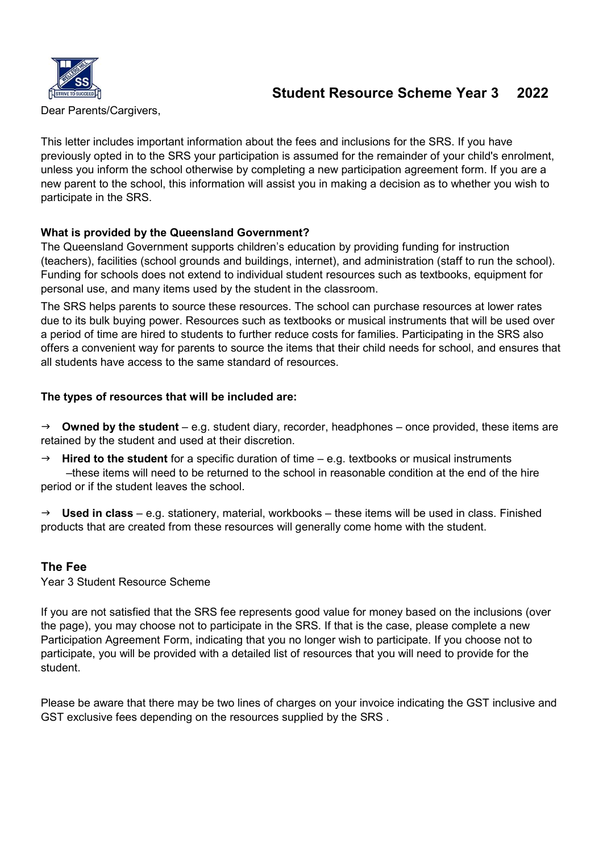

# Student Resource Scheme Year 3 2022

Dear Parents/Cargivers,

This letter includes important information about the fees and inclusions for the SRS. If you have previously opted in to the SRS your participation is assumed for the remainder of your child's enrolment, unless you inform the school otherwise by completing a new participation agreement form. If you are a new parent to the school, this information will assist you in making a decision as to whether you wish to participate in the SRS.

## What is provided by the Queensland Government?

The Queensland Government supports children's education by providing funding for instruction (teachers), facilities (school grounds and buildings, internet), and administration (staff to run the school). Funding for schools does not extend to individual student resources such as textbooks, equipment for personal use, and many items used by the student in the classroom.

The SRS helps parents to source these resources. The school can purchase resources at lower rates due to its bulk buying power. Resources such as textbooks or musical instruments that will be used over a period of time are hired to students to further reduce costs for families. Participating in the SRS also offers a convenient way for parents to source the items that their child needs for school, and ensures that all students have access to the same standard of resources.

# The types of resources that will be included are:

 $\rightarrow$  Owned by the student – e.g. student diary, recorder, headphones – once provided, these items are retained by the student and used at their discretion.

 $\rightarrow$  Hired to the student for a specific duration of time – e.g. textbooks or musical instruments –these items will need to be returned to the school in reasonable condition at the end of the hire period or if the student leaves the school.

 $\rightarrow$  Used in class – e.g. stationery, material, workbooks – these items will be used in class. Finished products that are created from these resources will generally come home with the student.

# The Fee

Year 3 Student Resource Scheme

If you are not satisfied that the SRS fee represents good value for money based on the inclusions (over the page), you may choose not to participate in the SRS. If that is the case, please complete a new Participation Agreement Form, indicating that you no longer wish to participate. If you choose not to participate, you will be provided with a detailed list of resources that you will need to provide for the student.

Please be aware that there may be two lines of charges on your invoice indicating the GST inclusive and GST exclusive fees depending on the resources supplied by the SRS .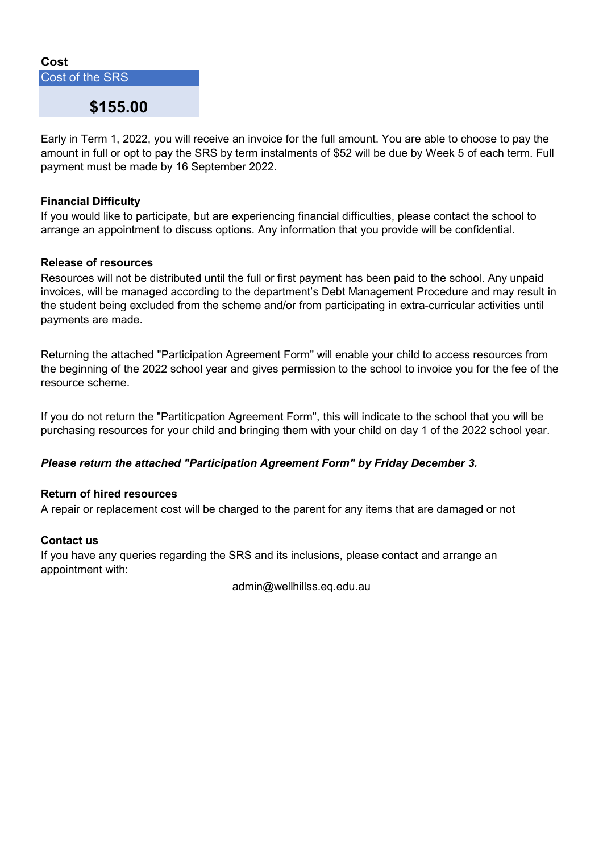

Early in Term 1, 2022, you will receive an invoice for the full amount. You are able to choose to pay the amount in full or opt to pay the SRS by term instalments of \$52 will be due by Week 5 of each term. Full payment must be made by 16 September 2022.

## Financial Difficulty

If you would like to participate, but are experiencing financial difficulties, please contact the school to arrange an appointment to discuss options. Any information that you provide will be confidential.

#### Release of resources

Resources will not be distributed until the full or first payment has been paid to the school. Any unpaid invoices, will be managed according to the department's Debt Management Procedure and may result in the student being excluded from the scheme and/or from participating in extra-curricular activities until payments are made.

Returning the attached "Participation Agreement Form" will enable your child to access resources from the beginning of the 2022 school year and gives permission to the school to invoice you for the fee of the resource scheme.

If you do not return the "Partiticpation Agreement Form", this will indicate to the school that you will be purchasing resources for your child and bringing them with your child on day 1 of the 2022 school year.

## Please return the attached "Participation Agreement Form" by Friday December 3.

#### Return of hired resources

A repair or replacement cost will be charged to the parent for any items that are damaged or not

#### Contact us

If you have any queries regarding the SRS and its inclusions, please contact and arrange an appointment with:

admin@wellhillss.eq.edu.au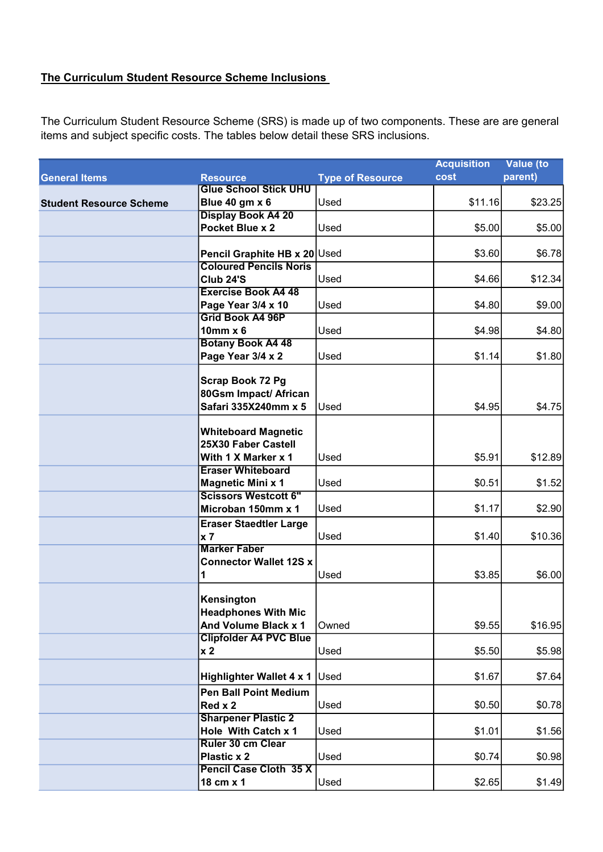# The Curriculum Student Resource Scheme Inclusions

The Curriculum Student Resource Scheme (SRS) is made up of two components. These are are general items and subject specific costs. The tables below detail these SRS inclusions.

|                                |                                                                   |                         | <b>Acquisition</b> | <b>Value</b> (to |
|--------------------------------|-------------------------------------------------------------------|-------------------------|--------------------|------------------|
| <b>General Items</b>           | <b>Resource</b>                                                   | <b>Type of Resource</b> | cost               | parent)          |
|                                | <b>Glue School Stick UHU</b>                                      |                         |                    |                  |
| <b>Student Resource Scheme</b> | Blue 40 gm x 6                                                    | Used                    | \$11.16            | \$23.25          |
|                                | <b>Display Book A4 20</b>                                         |                         |                    |                  |
|                                | Pocket Blue x 2                                                   | Used                    | \$5.00             | \$5.00           |
|                                | Pencil Graphite HB x 20 Used                                      |                         | \$3.60             | \$6.78           |
|                                | <b>Coloured Pencils Noris</b>                                     |                         |                    |                  |
|                                | Club 24'S                                                         | <b>Used</b>             | \$4.66             | \$12.34          |
|                                | <b>Exercise Book A4 48</b>                                        |                         |                    |                  |
|                                | Page Year 3/4 x 10                                                | Used                    | \$4.80             | \$9.00           |
|                                | <b>Grid Book A4 96P</b>                                           |                         |                    |                  |
|                                | $10mm \times 6$                                                   | Used                    | \$4.98             | \$4.80           |
|                                | <b>Botany Book A4 48</b>                                          |                         |                    |                  |
|                                | Page Year 3/4 x 2                                                 | Used                    | \$1.14             | \$1.80           |
|                                | Scrap Book 72 Pg<br>80Gsm Impact/ African<br>Safari 335X240mm x 5 | Used                    | \$4.95             | \$4.75           |
|                                |                                                                   |                         |                    |                  |
|                                | <b>Whiteboard Magnetic</b>                                        |                         |                    |                  |
|                                | 25X30 Faber Castell                                               |                         |                    |                  |
|                                | With 1 X Marker x 1                                               | Used                    | \$5.91             | \$12.89          |
|                                | <b>Eraser Whiteboard</b>                                          |                         |                    |                  |
|                                | <b>Magnetic Mini x 1</b>                                          | Used                    | \$0.51             | \$1.52           |
|                                | <b>Scissors Westcott 6"</b>                                       |                         |                    |                  |
|                                | Microban 150mm x 1                                                | Used                    | \$1.17             | \$2.90           |
|                                | <b>Eraser Staedtler Large</b>                                     |                         |                    |                  |
|                                | x 7                                                               | Used                    | \$1.40             | \$10.36          |
|                                | <b>Marker Faber</b>                                               |                         |                    |                  |
|                                | <b>Connector Wallet 12S x</b>                                     |                         |                    |                  |
|                                | 1                                                                 | Used                    | \$3.85             | \$6.00           |
|                                |                                                                   |                         |                    |                  |
|                                | Kensington                                                        |                         |                    |                  |
|                                | <b>Headphones With Mic</b>                                        |                         |                    |                  |
|                                | And Volume Black x 1                                              | Owned                   | \$9.55             | \$16.95          |
|                                | <b>Clipfolder A4 PVC Blue</b>                                     |                         |                    |                  |
|                                | x <sub>2</sub>                                                    | Used                    | \$5.50             | \$5.98           |
|                                | Highlighter Wallet 4 x 1                                          | Used                    | \$1.67             | \$7.64           |
|                                | <b>Pen Ball Point Medium</b>                                      |                         |                    |                  |
|                                | Red x 2                                                           | Used                    | \$0.50             | \$0.78           |
|                                | <b>Sharpener Plastic 2</b>                                        |                         |                    |                  |
|                                | Hole With Catch x 1                                               | Used                    | \$1.01             | \$1.56           |
|                                | Ruler 30 cm Clear                                                 |                         |                    |                  |
|                                | <b>Plastic x 2</b>                                                | Used                    | \$0.74             | \$0.98           |
|                                | Pencil Case Cloth 35 X                                            |                         |                    |                  |
|                                | 18 cm x 1                                                         | Used                    | \$2.65             | \$1.49]          |